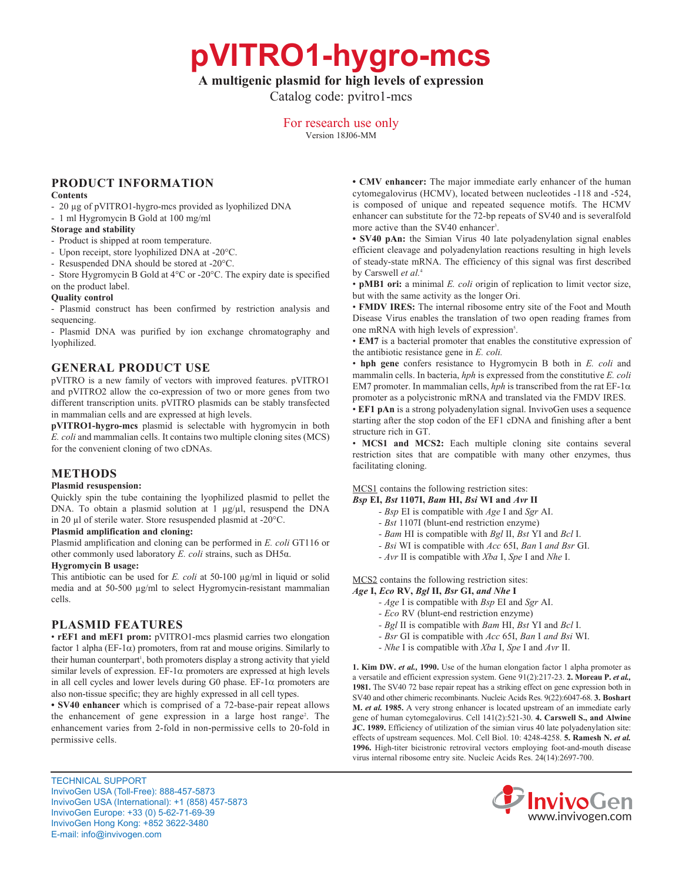**pVITRO1-hygro-mcs**

# **A multigenic plasmid for high levels of expression**

Catalog code: pvitro1-mcs

For research use only

Version 18J06-MM

# **PRODUCT INFORMATION**

#### **Contents**

- 20 µg of pVITRO1-hygro-mcs provided as lyophilized DNA
- 1 ml Hygromycin B Gold at 100 mg/ml

### **Storage and stability**

- Product is shipped at room temperature.
- Upon receipt, store lyophilized DNA at -20°C.
- Resuspended DNA should be stored at -20°C.
- Store Hygromycin B Gold at 4°C or -20°C. The expiry date is specified on the product label.

### **Quality control**

- Plasmid construct has been confirmed by restriction analysis and sequencing.

- Plasmid DNA was purified by ion exchange chromatography and lyophilized.

## **GENERAL PRODUCT USE**

pVITRO is a new family of vectors with improved features. pVITRO1 and pVITRO2 allow the co-expression of two or more genes from two different transcription units. pVITRO plasmids can be stably transfected in mammalian cells and are expressed at high levels.

**pVITRO1-hygro-mcs** plasmid is selectable with hygromycin in both *E. coli* and mammalian cells. It contains two multiple cloning sites (MCS) for the convenient cloning of two cDNAs.

# **METHODS**

#### **Plasmid resuspension:**

Quickly spin the tube containing the lyophilized plasmid to pellet the DNA. To obtain a plasmid solution at 1  $\mu$ g/ $\mu$ l, resuspend the DNA in 20 µl of sterile water. Store resuspended plasmid at -20°C.

### **Plasmid amplification and cloning:**

Plasmid amplification and cloning can be performed in *E. coli* GT116 or other commonly used laboratory *E. coli* strains, such as DH5α.

#### **Hygromycin B usage:**

This antibiotic can be used for *E. coli* at 50-100  $\mu$ g/ml in liquid or solid media and at 50-500 µg/ml to select Hygromycin-resistant mammalian cells.

# **PLASMID FEATURES**

• **rEF1 and mEF1 prom:** pVITRO1-mcs plasmid carries two elongation factor 1 alpha (EF-1 $\alpha$ ) promoters, from rat and mouse origins. Similarly to their human counterpart<sup>1</sup>, both promoters display a strong activity that yield similar levels of expression. EF-1 $\alpha$  promoters are expressed at high levels in all cell cycles and lower levels during G0 phase.  $EF-1\alpha$  promoters are also non-tissue specific; they are highly expressed in all cell types.

**• SV40 enhancer** which is comprised of a 72-base-pair repeat allows the enhancement of gene expression in a large host range<sup>2</sup>. The enhancement varies from 2-fold in non-permissive cells to 20-fold in permissive cells.

TECHNICAL SUPPORT InvivoGen USA (Toll‑Free): 888-457-5873 InvivoGen USA (International): +1 (858) 457-5873 InvivoGen Europe: +33 (0) 5-62-71-69-39 InvivoGen Hong Kong: +852 3622-3480 E-mail: info@invivogen.com

**• CMV enhancer:** The major immediate early enhancer of the human cytomegalovirus (HCMV), located between nucleotides -118 and -524, is composed of unique and repeated sequence motifs. The HCMV enhancer can substitute for the 72-bp repeats of SV40 and is severalfold more active than the SV40 enhancer<sup>3</sup>.

**• SV40 pAn:** the Simian Virus 40 late polyadenylation signal enables efficient cleavage and polyadenylation reactions resulting in high levels of steady-state mRNA. The efficiency of this signal was first described by Carswell *et al.*<sup>4</sup>

• **pMB1 ori:** a minimal *E. coli* origin of replication to limit vector size, but with the same activity as the longer Ori.

• **FMDV IRES:** The internal ribosome entry site of the Foot and Mouth Disease Virus enables the translation of two open reading frames from one mRNA with high levels of expression<sup>5</sup>.

• **EM7** is a bacterial promoter that enables the constitutive expression of the antibiotic resistance gene in *E. coli.*

• **hph gene** confers resistance to Hygromycin B both in *E. coli* and mammalin cells. In bacteria, *hph* is expressed from the constitutive *E. coli* EM7 promoter. In mammalian cells,  $hph$  is transcribed from the rat EF-1 $\alpha$ promoter as a polycistronic mRNA and translated via the FMDV IRES.

• **EF1 pAn** is a strong polyadenylation signal. InvivoGen uses a sequence starting after the stop codon of the EF1 cDNA and finishing after a bent structure rich in GT.

• **MCS1 and MCS2:** Each multiple cloning site contains several restriction sites that are compatible with many other enzymes, thus facilitating cloning.

MCS1 contains the following restriction sites:

*Bsp* **EI,** *Bst* **1107I,** *Bam* **HI,** *Bsi* **WI and** *Avr* **II**

- *Bsp* EI is compatible with *Age* I and *Sgr* AI.
- *Bst* 1107I (blunt-end restriction enzyme)
- *Bam* HI is compatible with *Bgl* II, *Bst* YI and *Bcl* I.
- *Bsi* WI is compatible with *Acc* 65I, *Ban* I *and Bsr* GI.
- *Avr* II is compatible with *Xba* I, *Spe* I and *Nhe* I.

MCS2 contains the following restriction sites: *Age* **I,** *Eco* **RV,** *Bgl* **II,** *Bsr* **GI,** *and Nhe* **I**

- *Age* I is compatible with *Bsp* EI and *Sgr* AI.
- *Eco* RV (blunt-end restriction enzyme)
- *Bgl* II is compatible with *Bam* HI, *Bst* YI and *Bcl* I.
- *Bsr* GI is compatible with *Acc* 65I, *Ban* I *and Bsi* WI.
- *Nhe* I is compatible with *Xba* I, *Spe* I and *Avr* II.

**1. Kim DW.** *et al.,* **1990.** Use of the human elongation factor 1 alpha promoter as a versatile and efficient expression system. Gene 91(2):217-23. **2. Moreau P.** *et al.,* **1981.** The SV40 72 base repair repeat has a striking effect on gene expression both in SV40 and other chimeric recombinants. Nucleic Acids Res. 9(22):6047-68. **3. Boshart M.** *et al.* **1985.** A very strong enhancer is located upstream of an immediate early gene of human cytomegalovirus. Cell 141(2):521-30. **4. Carswell S., and Alwine JC. 1989.** Efficiency of utilization of the simian virus 40 late polyadenylation site: effects of upstream sequences. Mol. Cell Biol. 10: 4248-4258. **5. Ramesh N.** *et al.* **1996.** High-titer bicistronic retroviral vectors employing foot-and-mouth disease virus internal ribosome entry site. Nucleic Acids Res. 24(14):2697-700.

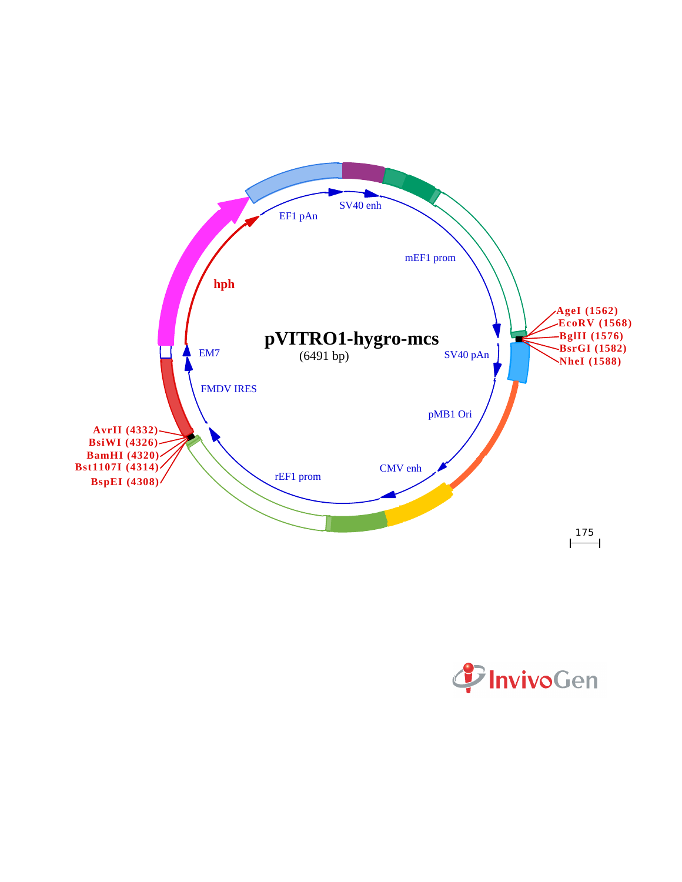

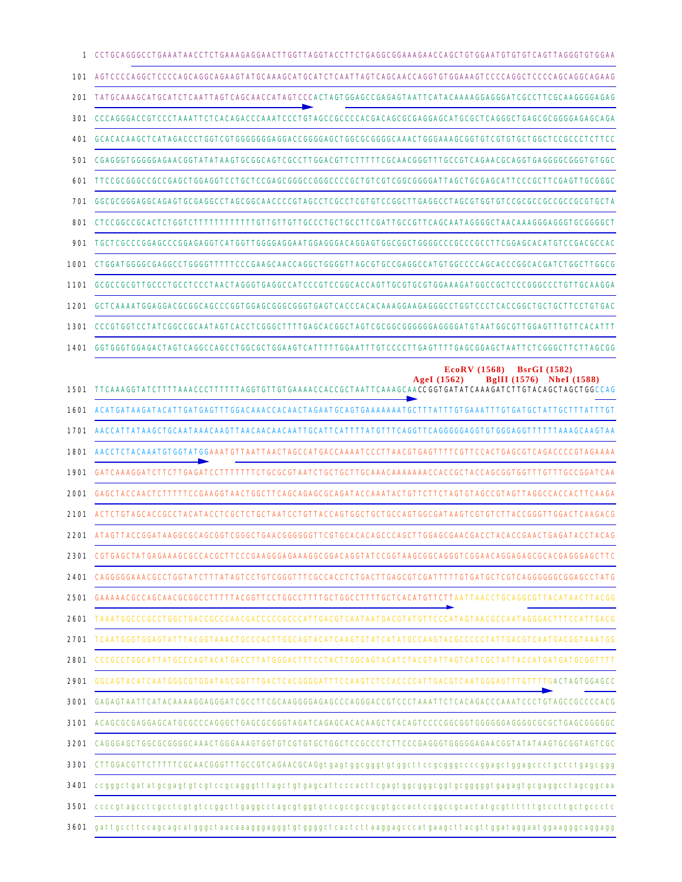| $\mathbf{1}$ | CCTGCAGGGCCTGAAATAACCTCTGAAAGAGGAACTTGGTTAGGTACCTTCTGAGGCGGAAAGAACCAGCTGTGGAATGTGTGTCAGTTAGGGTGTGAA                                                                                                                        |
|--------------|----------------------------------------------------------------------------------------------------------------------------------------------------------------------------------------------------------------------------|
| 101          |                                                                                                                                                                                                                            |
| 201          | TATGCAAAGCATGCATCTCAATTAGTCAGCAACCATAGTCCCACTAGTGGAGCCGAGAGTAATTCATACAAAAGGAGGGATCGCCTTCGCAAGGGGAGAG                                                                                                                       |
| 301          | ${\tt CCCAGGACCGTCCCTAAATTCTCACAGACCCAAATCCCTGTAGCCGCCCCACGACAGCGGGGAGGAGCTCAGGGCTCAGGGCTGAGGCGGGGAGAGGGAGAG$                                                                                                              |
| 401          | GCACACAAGCTCATAGACCCTGGTCGTGGGGGGGAGCAGCGGGGAGCTGGCGGGGGAAACTGGGAAAGCGGTGTCGTGCTGCCCCCCCTCTTCC                                                                                                                             |
| 501          | ${\tt CGAGGGTGGGGGAGAAGGGGTTTATAAGTGGCGGCGGGTCGGCTTGGAGGTTTTTTCGGAAGGGGTTTGCGCTCAGAACGGGAGGGGGGGGGGGGGGGGGGGGGGGGGGGGGGTTGGGC$                                                                                             |
| 601          | TTCCGCGGGCCGCCGAGCTGGAGGTCCTGCTCCGAGCGGGCCCGGGCCCCGCTGTCGTCGGCGGATTAGCTGCGAGCATTCCCGCTTCGAGTTGCGGGC                                                                                                                        |
| 701          |                                                                                                                                                                                                                            |
| 801          |                                                                                                                                                                                                                            |
| 901          |                                                                                                                                                                                                                            |
| 1001         | CTGGATGGGCCGAGGCCTGGGGTTTTTCCCGAAGCAACCAGGCTGGGGTTAGCGTGCCGAGGCCATGTGGCCCCAGCACCCGCCACGATCTGGCTTGGCG                                                                                                                       |
| 1101         |                                                                                                                                                                                                                            |
| 1201         |                                                                                                                                                                                                                            |
| 1301         |                                                                                                                                                                                                                            |
| 1401         | $_{\rm GGTGGGTGGAGACTAGTCAGGCCGGCGCTGGGAAGTCATTTTTGGAATTTGTCCCCTTGAGTTTTGAGCGGAGCTAATTCTCGGGGCTTCTTAGCGG$                                                                                                                  |
| 1501         | <b>EcoRV</b> (1568)<br><b>BsrGI</b> (1582)<br>AgeI $(1562)$<br>BgIII (1576) NheI (1588)                                                                                                                                    |
| 1601         | ACATGATAAGATACATTGATGAGTTTGGACAAACCACAACTAGAATGCAGTGAAAAAATGCTTTATTTGTGAAATTTGTGATGCTATTGCTTTATTTGT                                                                                                                        |
| 1701         |                                                                                                                                                                                                                            |
| 1801         | AACCTCTACAAATGTGGTATGGAAATGTTAATTAACTAGCCATGACCAAAATCCCTTAACGTGAGTTTTCGTTCCACTGAGCGTCAGACCCCGTAGAAAA                                                                                                                       |
| 1901         |                                                                                                                                                                                                                            |
| 2001         | GAGCTACCAACTCTTTTTCCGAAGGTAACTGGCTTCAGCAGAGCGCAGATACCAAATACTGTTCTTCTAGTGTAGCCGTAGTTAGGCCACCACTTCAAGA                                                                                                                       |
| 2101         | ACTCTGTAGCACCGCCTACATACCTCGCTCTGCTAATCCTGTTACCAGTGGCTGCTGCCAGTGGCGATAAGTCGTGTCTTACCGGGTTGGACTCAAGACG                                                                                                                       |
| 2201         | ATAGTTACCGGATAAGGCGCAGCGGTCGGGCTGAACGGGGGTTCGTGCACACAGCCCAGCTTGGAGCGAACGACCTACACCGAACTGAGATACCTACAG                                                                                                                        |
|              | 2301 CGTGAGCTATGAGAAAGCGCCACGCTTCCCGAAGGGAGAAAGGCGGACAGGTATCCGGTAAGCGGCAGGGTCGGAACAGGAGAGCGCACGAGGGAGCTTC                                                                                                                  |
|              | 2401 CAGGGGGAAACGCCTGGTATCTTTATAGTCCTGTCGGGTTTCGCCACCTCTGACTTGAGCGTCGATTTTTGTGATGCTCGTCAGGGGGGCGGAGCCTATG                                                                                                                  |
|              |                                                                                                                                                                                                                            |
|              | 2601 TAAATGGCCCGCCTGGCTGACCGCCCAACGACCCCCGCCCATTGACGTCAATAATGACGTATGTTCCCATAGTAACGCCAATAGGGACTTTCCATTGACG                                                                                                                  |
| 2701         | TCAATGGGTGAGTATTTACGGTAAACTGCCCACTTGGCAGTACATCAAGTGTATCATATGCCAAGTACGCCCCCTATTGACGTCAATGACGGTAAATGG                                                                                                                        |
| 2801         | ${\tt CCGGCCTGGCATTATGCCCAGTACATGACCTTATGGGACTTTCCTACTTGGCAGTACATCTACGTTTATGGTATTACGCTATTACCATGATGATGCGGTTTTT$                                                                                                             |
|              |                                                                                                                                                                                                                            |
|              | 3001 GAGAGTAATTCATACAAAAGGAGGGATCGCCTTCGCAAGGGGAGAGCCCAGGGACCGTCCCTAAATTCTCACAGACCCAAATCCCTGTAGCCGCCCCACG                                                                                                                  |
|              | 3101 ACAGCGCGAGGAGCATGCGCCCAGGGCTGAGCGCGGTAGATCAGAGCACACAAGCTCACAGTCCCCGGCGGTGGGGGGAGGGCGCGCTGAGCGGGGGC                                                                                                                    |
|              |                                                                                                                                                                                                                            |
|              | 3301 CTTGGACGTTCTTTTTCGCAACGGGTTTGCCGTCAGAACGCAGgtgagtggcgggtgtggcttccgcggggccccggagctggagccctgctctgagcggg                                                                                                                 |
|              |                                                                                                                                                                                                                            |
|              | 3501 ccccgtagectcgcctcgtgtccggcttgaggcctagegtggtgtccgccgccgcgtgccactccggccgcactatgcgttttttgtccttgctgccctc                                                                                                                  |
|              | $\bf 3601$ gattg $\rm c$ ctt $\rm c$ cag $\rm c$ agcatggg $\rm c$ taa $\rm c$ aaagggaggtgtgggg $\rm c$ t $\rm c$ act $\rm c$ ttaaggag $\rm c$ t $\rm c$ gat $\rm c$ ggaaggg $\rm c$ aggaggg $\rm c$ aggaggg $\rm c$ aggagg |